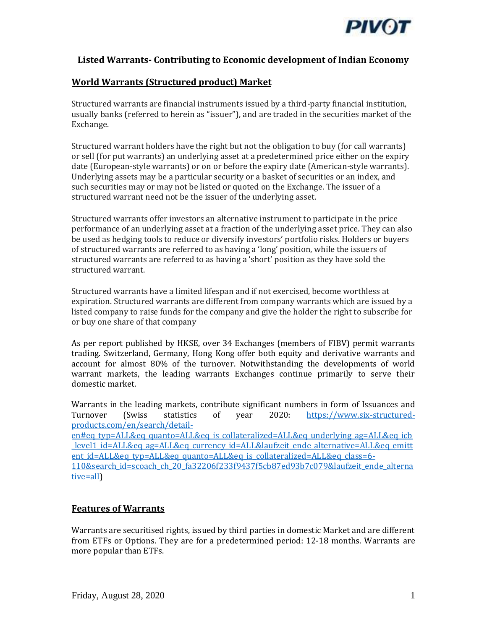

## **Listed Warrants- Contributing to Economic development of Indian Economy**

# **World Warrants (Structured product) Market**

Structured warrants are financial instruments issued by a third-party financial institution, usually banks (referred to herein as "issuer"), and are traded in the securities market of the Exchange.

Structured warrant holders have the right but not the obligation to buy (for call warrants) or sell (for put warrants) an underlying asset at a predetermined price either on the expiry date (European-style warrants) or on or before the expiry date (American-style warrants). Underlying assets may be a particular security or a basket of securities or an index, and such securities may or may not be listed or quoted on the Exchange. The issuer of a structured warrant need not be the issuer of the underlying asset.

Structured warrants offer investors an alternative instrument to participate in the price performance of an underlying asset at a fraction of the underlying asset price. They can also be used as hedging tools to reduce or diversify investors' portfolio risks. Holders or buyers of structured warrants are referred to as having a 'long' position, while the issuers of structured warrants are referred to as having a 'short' position as they have sold the structured warrant.

Structured warrants have a limited lifespan and if not exercised, become worthless at expiration. Structured warrants are different from company warrants which are issued by a listed company to raise funds for the company and give the holder the right to subscribe for or buy one share of that company

As per report published by HKSE, over 34 Exchanges (members of FIBV) permit warrants trading. Switzerland, Germany, Hong Kong offer both equity and derivative warrants and account for almost 80% of the turnover. Notwithstanding the developments of world warrant markets, the leading warrants Exchanges continue primarily to serve their domestic market.

Warrants in the leading markets, contribute significant numbers in form of Issuances and Turnover (Swiss statistics of year 2020: [https://www.six-structured](https://www.six-structured-products.com/en/search/detail-en#eq_typ=ALL&eq_quanto=ALL&eq_is_collateralized=ALL&eq_underlying_ag=ALL&eq_icb_level1_id=ALL&eq_ag=ALL&eq_currency_id=ALL&laufzeit_ende_alternative=ALL&eq_emittent_id=ALL&eq_typ=ALL&eq_quanto=ALL&eq_is_collateralized=ALL&eq_class=6-110&search_id=scoach_ch_20_fa32206f233f9437f5cb87ed93b7c079&laufzeit_ende_alternative=all)[products.com/en/search/detail-](https://www.six-structured-products.com/en/search/detail-en#eq_typ=ALL&eq_quanto=ALL&eq_is_collateralized=ALL&eq_underlying_ag=ALL&eq_icb_level1_id=ALL&eq_ag=ALL&eq_currency_id=ALL&laufzeit_ende_alternative=ALL&eq_emittent_id=ALL&eq_typ=ALL&eq_quanto=ALL&eq_is_collateralized=ALL&eq_class=6-110&search_id=scoach_ch_20_fa32206f233f9437f5cb87ed93b7c079&laufzeit_ende_alternative=all)

[en#eq\\_typ=ALL&eq\\_quanto=ALL&eq\\_is\\_collateralized=ALL&eq\\_underlying\\_ag=ALL&eq\\_icb](https://www.six-structured-products.com/en/search/detail-en#eq_typ=ALL&eq_quanto=ALL&eq_is_collateralized=ALL&eq_underlying_ag=ALL&eq_icb_level1_id=ALL&eq_ag=ALL&eq_currency_id=ALL&laufzeit_ende_alternative=ALL&eq_emittent_id=ALL&eq_typ=ALL&eq_quanto=ALL&eq_is_collateralized=ALL&eq_class=6-110&search_id=scoach_ch_20_fa32206f233f9437f5cb87ed93b7c079&laufzeit_ende_alternative=all) [\\_level1\\_id=ALL&eq\\_ag=ALL&eq\\_currency\\_id=ALL&laufzeit\\_ende\\_alternative=ALL&eq\\_emitt](https://www.six-structured-products.com/en/search/detail-en#eq_typ=ALL&eq_quanto=ALL&eq_is_collateralized=ALL&eq_underlying_ag=ALL&eq_icb_level1_id=ALL&eq_ag=ALL&eq_currency_id=ALL&laufzeit_ende_alternative=ALL&eq_emittent_id=ALL&eq_typ=ALL&eq_quanto=ALL&eq_is_collateralized=ALL&eq_class=6-110&search_id=scoach_ch_20_fa32206f233f9437f5cb87ed93b7c079&laufzeit_ende_alternative=all) ent id=ALL&eq typ=ALL&eq quanto=ALL&eq is collateralized=ALL&eq class=6-[110&search\\_id=scoach\\_ch\\_20\\_fa32206f233f9437f5cb87ed93b7c079&laufzeit\\_ende\\_alterna](https://www.six-structured-products.com/en/search/detail-en#eq_typ=ALL&eq_quanto=ALL&eq_is_collateralized=ALL&eq_underlying_ag=ALL&eq_icb_level1_id=ALL&eq_ag=ALL&eq_currency_id=ALL&laufzeit_ende_alternative=ALL&eq_emittent_id=ALL&eq_typ=ALL&eq_quanto=ALL&eq_is_collateralized=ALL&eq_class=6-110&search_id=scoach_ch_20_fa32206f233f9437f5cb87ed93b7c079&laufzeit_ende_alternative=all) [tive=all\)](https://www.six-structured-products.com/en/search/detail-en#eq_typ=ALL&eq_quanto=ALL&eq_is_collateralized=ALL&eq_underlying_ag=ALL&eq_icb_level1_id=ALL&eq_ag=ALL&eq_currency_id=ALL&laufzeit_ende_alternative=ALL&eq_emittent_id=ALL&eq_typ=ALL&eq_quanto=ALL&eq_is_collateralized=ALL&eq_class=6-110&search_id=scoach_ch_20_fa32206f233f9437f5cb87ed93b7c079&laufzeit_ende_alternative=all)

## **Features of Warrants**

Warrants are securitised rights, issued by third parties in domestic Market and are different from ETFs or Options. They are for a predetermined period: 12-18 months. Warrants are more popular than ETFs.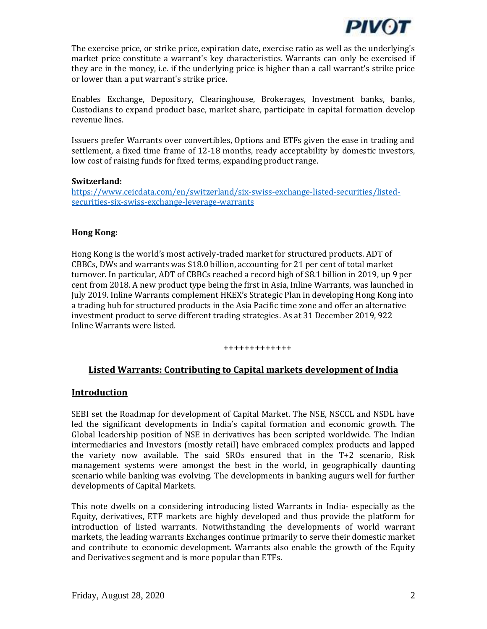

The exercise price, or strike price, expiration date, exercise ratio as well as the underlying's market price constitute a warrant's key characteristics. Warrants can only be exercised if they are in the money, i.e. if the underlying price is higher than a call warrant's strike price or lower than a put warrant's strike price.

Enables Exchange, Depository, Clearinghouse, Brokerages, Investment banks, banks, Custodians to expand product base, market share, participate in capital formation develop revenue lines.

Issuers prefer Warrants over convertibles, Options and ETFs given the ease in trading and settlement, a fixed time frame of 12-18 months, ready acceptability by domestic investors, low cost of raising funds for fixed terms, expanding product range.

#### **Switzerland:**

[https://www.ceicdata.com/en/switzerland/six-swiss-exchange-listed-securities/listed](https://www.ceicdata.com/en/switzerland/six-swiss-exchange-listed-securities/listed-securities-six-swiss-exchange-leverage-warrants)[securities-six-swiss-exchange-leverage-warrants](https://www.ceicdata.com/en/switzerland/six-swiss-exchange-listed-securities/listed-securities-six-swiss-exchange-leverage-warrants)

#### **Hong Kong:**

Hong Kong is the world's most actively-traded market for structured products. ADT of CBBCs, DWs and warrants was \$18.0 billion, accounting for 21 per cent of total market turnover. In particular, ADT of CBBCs reached a record high of \$8.1 billion in 2019, up 9 per cent from 2018. A new product type being the first in Asia, Inline Warrants, was launched in July 2019. Inline Warrants complement HKEX's Strategic Plan in developing Hong Kong into a trading hub for structured products in the Asia Pacific time zone and offer an alternative investment product to serve different trading strategies. As at 31 December 2019, 922 Inline Warrants were listed.

#### +++++++++++++

## **Listed Warrants: Contributing to Capital markets development of India**

#### **Introduction**

SEBI set the Roadmap for development of Capital Market. The NSE, NSCCL and NSDL have led the significant developments in India's capital formation and economic growth. The Global leadership position of NSE in derivatives has been scripted worldwide. The Indian intermediaries and Investors (mostly retail) have embraced complex products and lapped the variety now available. The said SROs ensured that in the T+2 scenario, Risk management systems were amongst the best in the world, in geographically daunting scenario while banking was evolving. The developments in banking augurs well for further developments of Capital Markets.

This note dwells on a considering introducing listed Warrants in India- especially as the Equity, derivatives, ETF markets are highly developed and thus provide the platform for introduction of listed warrants. Notwithstanding the developments of world warrant markets, the leading warrants Exchanges continue primarily to serve their domestic market and contribute to economic development. Warrants also enable the growth of the Equity and Derivatives segment and is more popular than ETFs.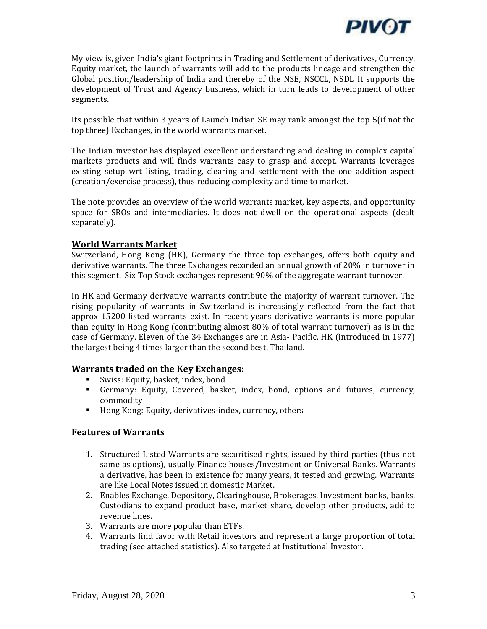

My view is, given India's giant footprints in Trading and Settlement of derivatives, Currency, Equity market, the launch of warrants will add to the products lineage and strengthen the Global position/leadership of India and thereby of the NSE, NSCCL, NSDL It supports the development of Trust and Agency business, which in turn leads to development of other segments.

Its possible that within 3 years of Launch Indian SE may rank amongst the top 5(if not the top three) Exchanges, in the world warrants market.

The Indian investor has displayed excellent understanding and dealing in complex capital markets products and will finds warrants easy to grasp and accept. Warrants leverages existing setup wrt listing, trading, clearing and settlement with the one addition aspect (creation/exercise process), thus reducing complexity and time to market.

The note provides an overview of the world warrants market, key aspects, and opportunity space for SROs and intermediaries. It does not dwell on the operational aspects (dealt separately).

## **World Warrants Market**

Switzerland, Hong Kong (HK), Germany the three top exchanges, offers both equity and derivative warrants. The three Exchanges recorded an annual growth of 20% in turnover in this segment. Six Top Stock exchanges represent 90% of the aggregate warrant turnover.

In HK and Germany derivative warrants contribute the majority of warrant turnover. The rising popularity of warrants in Switzerland is increasingly reflected from the fact that approx 15200 listed warrants exist. In recent years derivative warrants is more popular than equity in Hong Kong (contributing almost 80% of total warrant turnover) as is in the case of Germany. Eleven of the 34 Exchanges are in Asia- Pacific, HK (introduced in 1977) the largest being 4 times larger than the second best, Thailand.

## **Warrants traded on the Key Exchanges:**

- Swiss: Equity, basket, index, bond
- Germany: Equity, Covered, basket, index, bond, options and futures, currency, commodity
- Hong Kong: Equity, derivatives-index, currency, others

## **Features of Warrants**

- 1. Structured Listed Warrants are securitised rights, issued by third parties (thus not same as options), usually Finance houses/Investment or Universal Banks. Warrants a derivative, has been in existence for many years, it tested and growing. Warrants are like Local Notes issued in domestic Market.
- 2. Enables Exchange, Depository, Clearinghouse, Brokerages, Investment banks, banks, Custodians to expand product base, market share, develop other products, add to revenue lines.
- 3. Warrants are more popular than ETFs.
- 4. Warrants find favor with Retail investors and represent a large proportion of total trading (see attached statistics). Also targeted at Institutional Investor.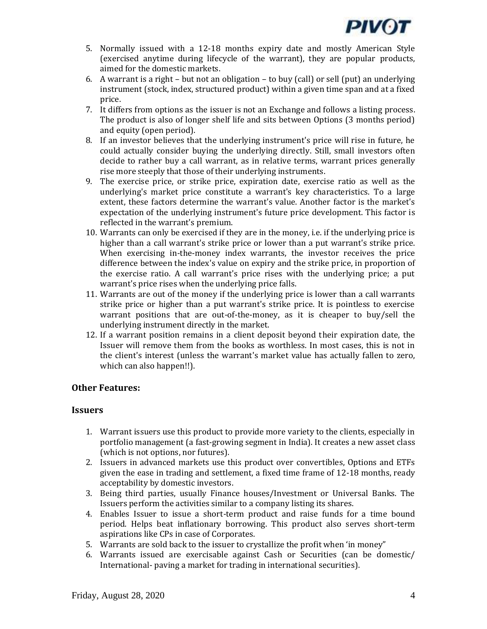

- 5. Normally issued with a 12-18 months expiry date and mostly American Style (exercised anytime during lifecycle of the warrant), they are popular products, aimed for the domestic markets.
- 6. A warrant is a right but not an obligation to buy (call) or sell (put) an underlying instrument (stock, index, structured product) within a given time span and at a fixed price.
- 7. It differs from options as the issuer is not an Exchange and follows a listing process. The product is also of longer shelf life and sits between Options (3 months period) and equity (open period).
- 8. If an investor believes that the underlying instrument's price will rise in future, he could actually consider buying the underlying directly. Still, small investors often decide to rather buy a call warrant, as in relative terms, warrant prices generally rise more steeply that those of their underlying instruments.
- 9. The exercise price, or strike price, expiration date, exercise ratio as well as the underlying's market price constitute a warrant's key characteristics. To a large extent, these factors determine the warrant's value. Another factor is the market's expectation of the underlying instrument's future price development. This factor is reflected in the warrant's premium.
- 10. Warrants can only be exercised if they are in the money, i.e. if the underlying price is higher than a call warrant's strike price or lower than a put warrant's strike price. When exercising in-the-money index warrants, the investor receives the price difference between the index's value on expiry and the strike price, in proportion of the exercise ratio. A call warrant's price rises with the underlying price; a put warrant's price rises when the underlying price falls.
- 11. Warrants are out of the money if the underlying price is lower than a call warrants strike price or higher than a put warrant's strike price. It is pointless to exercise warrant positions that are out-of-the-money, as it is cheaper to buy/sell the underlying instrument directly in the market.
- 12. If a warrant position remains in a client deposit beyond their expiration date, the Issuer will remove them from the books as worthless. In most cases, this is not in the client's interest (unless the warrant's market value has actually fallen to zero, which can also happen!!).

## **Other Features:**

## **Issuers**

- 1. Warrant issuers use this product to provide more variety to the clients, especially in portfolio management (a fast-growing segment in India). It creates a new asset class (which is not options, nor futures).
- 2. Issuers in advanced markets use this product over convertibles, Options and ETFs given the ease in trading and settlement, a fixed time frame of 12-18 months, ready acceptability by domestic investors.
- 3. Being third parties, usually Finance houses/Investment or Universal Banks. The Issuers perform the activities similar to a company listing its shares.
- 4. Enables Issuer to issue a short-term product and raise funds for a time bound period. Helps beat inflationary borrowing. This product also serves short-term aspirations like CPs in case of Corporates.
- 5. Warrants are sold back to the issuer to crystallize the profit when 'in money"
- 6. Warrants issued are exercisable against Cash or Securities (can be domestic/ International- paving a market for trading in international securities).